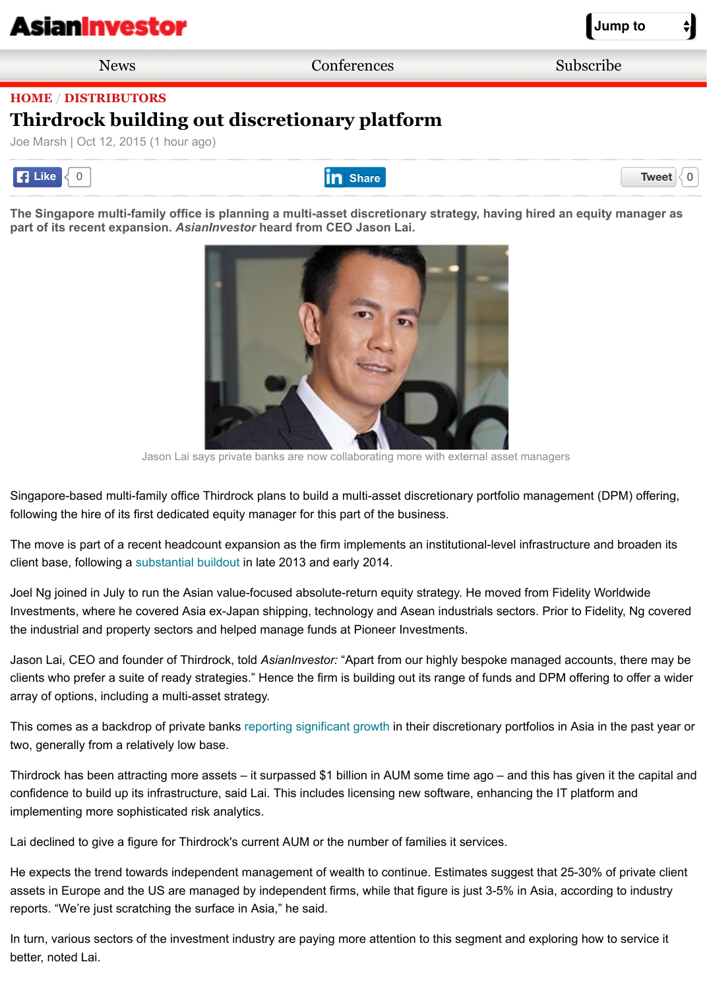[The Singapore multi-family of](http://m.asianinvestor.net/Default.aspx)fice is planning a multi-asset discretionary strategy, having hired an equity r **part of its recent expansion.** *AsianInvestor* **heard from CEO Jason Lai.** 



Jason Lai says private banks are now collaborating more with external asset managers

Singapore-based multi-family office Thirdrock plans to build a multi-asset discretionary portfolio management (DP following the hire of its first dedicated equity manager for this part of the business.

The move is part of a recent headcount expansion as the firm implements an institutional-level infrastructure and l client base, following a substantial buildout in late 2013 and early 2014.

Joel Ng joined in July to run the Asian value-focused absolute-return equity strategy. He moved from Fidelity Worl Investments, where he covered Asia ex-Japan shipping, technology and Asean industrials sectors. Prior to Fidelity the industrial and property sectors and helped manage funds at Pioneer Investments.

Jason Lai, CEO and founder of Thirdrock, told *AsianInvestor:* "Apart from our highly bespoke managed accounts, clients who prefer a suite of ready strategies." Hence the firm is building out its range of funds and DPM offering to array of options, including a multi-asset strategy.

This comes as a backdrop of private banks reporting significant growth in their discretionary portfolios in Asia in th two, generally from a r[elatively low base.](http://asianinvestor.net/News/369457,billion-dollar-family-office-on-expansion-trail.aspx)

Thirdrock has been attracting more assets – it surpassed \$1 billion in AUM some time ago – and this has given it the capital and and capital and and the capital and and the capital and and the capital and and the capital confidence to build up its infrastructure, said Lai. This includes licensing new software, enhancing the IT platform and implementing more sophisticated risk analytics.

Lai declined to give a figure for Thirdrock's current AUM or the number of families it services.

He expects the trend towards independent management of wealth to continue. Estimates suggest that 25-30% of assets in Europe and the US are managed by independent firms, while that figure is just 3-5% in Asia, according t reports. "We're just scratching the surface i[n Asia," he said.](http://asianinvestor.net/News/388956,asian-wealthy-warm-to-discretionary-portfolios.aspx)

In turn, various sectors of the investment industry are paying more attention to this segment and exploring how to better, noted Lai.